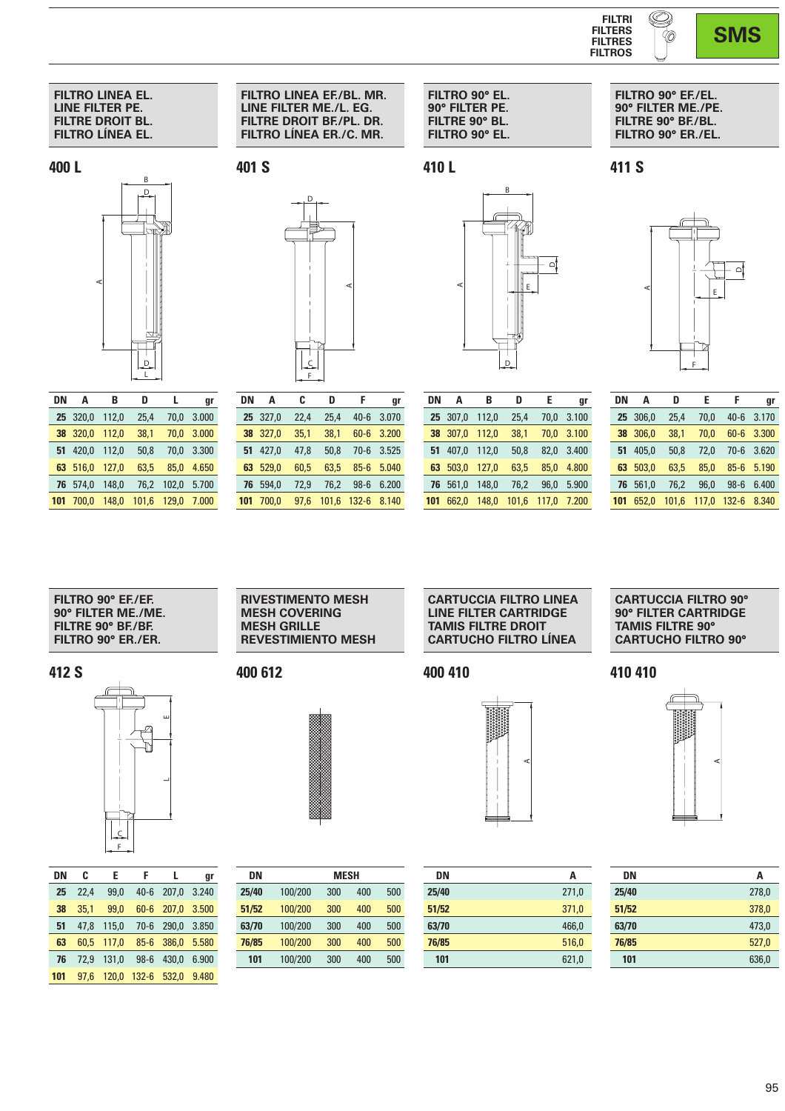

**FILTRO 90° EF./EL. 90° FILTER ME./PE. FILTRE 90° BF./BL. FILTRO 90° ER./EL.**

A

**411 S**

**SMS**

 $\mathsf{D}_\mathsf{I}$ 

E

## **FILTRO LINEA EL. LINE FILTER PE. FILTRE DROIT BL. FILTRO LÍNEA EL.**

**400 L**



| DN  | A     | B     | D     | L     | gr    |
|-----|-------|-------|-------|-------|-------|
| 25  | 320.0 | 112,0 | 25,4  | 70.0  | 3.000 |
| 38  | 320.0 | 112.0 | 38,1  | 70.0  | 3.000 |
| 51  | 420.0 | 112.0 | 50.8  | 70.0  | 3.300 |
| 63  | 516.0 | 127.0 | 63.5  | 85.0  | 4.650 |
| 76  | 574.0 | 148.0 | 76,2  | 102,0 | 5.700 |
| 101 | 700.0 | 148.0 | 101.6 | 129.0 | 7.000 |

**FILTRO LINEA EF./BL. MR. LINE FILTER ME./L. EG. FILTRE DROIT BF./PL. DR. FILTRO LÍNEA ER./C. MR.**

**401 S**



| DN  | A     | C    | n     | F         | gr    |
|-----|-------|------|-------|-----------|-------|
| 25  | 327,0 | 22,4 | 25,4  | $40 - 6$  | 3.070 |
| 38  | 327.0 | 35.1 | 38.1  | $60 - 6$  | 3.200 |
| 51  | 427.0 | 47,8 | 50.8  | $70-6$    | 3.525 |
| 63  | 529.0 | 60,5 | 63,5  | $85 - 6$  | 5.040 |
| 76  | 594.0 | 72,9 | 76,2  | $98-6$    | 6.200 |
| 101 | 700.0 | 97.6 | 101.6 | $132 - 6$ | 8.140 |
|     |       |      |       |           |       |

| DN  | A     | B     | D     | E     | gr    |
|-----|-------|-------|-------|-------|-------|
| 25  | 307.0 | 112.0 | 25.4  | 70.0  | 3.100 |
| 38  | 307,0 | 112.0 | 38.1  | 70.0  | 3.100 |
| 51  | 407.0 | 112.0 | 50.8  | 82.0  | 3.400 |
| 63  | 503.0 | 127.0 | 63.5  | 85.0  | 4.800 |
| 76  | 561,0 | 148.0 | 76,2  | 96.0  | 5.900 |
| 101 | 662.0 | 148.0 | 101.6 | 117.0 | 7.200 |

E

B

 $\circ$ 

A

**FILTRO 90° EL. 90° FILTER PE. FILTRE 90° BL. FILTRO 90° EL.**

**410 L**

| DN  | A     | D     | F     | F         | gr    |
|-----|-------|-------|-------|-----------|-------|
| 25  | 306.0 | 25.4  | 70.0  | $40 - 6$  | 3.170 |
| 38  | 306.0 | 38,1  | 70,0  | $60 - 6$  | 3.300 |
| 51  | 405.0 | 50.8  | 72,0  | $70 - 6$  | 3.620 |
| 63  | 503.0 | 63,5  | 85.0  | $85 - 6$  | 5.190 |
| 76  | 561.0 | 76,2  | 96.0  | $98 - 6$  | 6.400 |
| 101 | 652.0 | 101.6 | 117,0 | $132 - 6$ | 8.340 |
|     |       |       |       |           |       |

F

| FILTRO 90° EF/EF   |
|--------------------|
| 90° FILTER ME./ME. |
| FILTRE 90° BF/BF   |
| FILTRO 90° ER./ER. |

**412 S**



**DN CR ER FR LR gr** 22,4 99,0 40-6 207,0 3.240 35,1 99,0 60-6 207,0 3.500 47,8 115,0 70-6 290,0 3.850 60,5 117,0 85-6 386,0 5.580 72,9 131,0 98-6 430,0 6.900 97,6 120,0 132-6 532,0 9.480 **RIVESTIMENTO MESH MESH COVERING MESH GRILLE REVESTIMIENTO MESH**

**400 612**



|       | DN |         | MESH |     |     |
|-------|----|---------|------|-----|-----|
| 25/40 |    | 100/200 | 300  | 400 | 500 |
| 51/52 |    | 100/200 | 300  | 400 | 500 |
| 63/70 |    | 100/200 | 300  | 400 | 500 |
| 76/85 |    | 100/200 | 300  | 400 | 500 |
| 101   |    | 100/200 | 300  | 400 | 500 |

**CARTUCCIA FILTRO LINEA LINE FILTER CARTRIDGE TAMIS FILTRE DROIT CARTUCHO FILTRO LÍNEA**

**400 410**



| DN    | A     |
|-------|-------|
| 25/40 | 271,0 |
| 51/52 | 371,0 |
| 63/70 | 466,0 |
| 76/85 | 516,0 |
| 101   | 621,0 |

**CARTUCCIA FILTRO 90° 90° FILTER CARTRIDGE TAMIS FILTRE 90° CARTUCHO FILTRO 90°**

**410 410**



| DN    | A     |
|-------|-------|
| 25/40 | 278,0 |
| 51/52 | 378,0 |
| 63/70 | 473,0 |
| 76/85 | 527,0 |
| 101   | 636,0 |
|       |       |